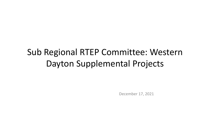# Sub Regional RTEP Committee: Western Dayton Supplemental Projects

December 17, 2021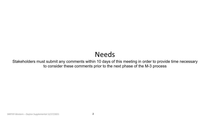## Needs

Stakeholders must submit any comments within 10 days of this meeting in order to provide time necessary to consider these comments prior to the next phase of the M-3 process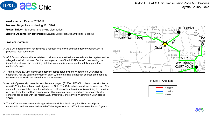

- **Need Number:** Dayton-2021-011
- **Process Stage:** Needs Meeting 12/17/2021
- **Project Driver:** Source for underlying distribution
- **Specific Assumption Reference:** Dayton Local Plan Assumptions (Slide 5)
- **Problem Statement:**
- $\triangleright$  AES Ohio transmission has received a request for a new distribution delivery point out of its proposed Octa substation.
- $\triangleright$  AES Ohio's Jeffersonville substation provides service to the local area distribution system and to a large industrial customer. For the contingency loss of the 69/12kV transformer serving the industrial customer, the remaining distribution source is unable to adequately support the customer's load.
- $\triangleright$  There are two 69/12kV distribution delivery points served via the Washington Court House substation. For the contingency loss of bank 2, the remaining distribution sources are unable to restore service to all load served from the substation
- As part of previously presented supplemental project (S2256), AES Ohio plans to construction a new 69kV ring bus substation designated as Octa. The Octa substation allows for a second 69kV source to be established into the radially fed Jeffersonville substation while avoiding the creation of a new three terminal line configuration. This proposal seeks to address historical reliability concerns associated with the radial 6902 Jamestown-Jeffersonville-Washington Court House circuit.
- $\triangleright$  The 6902-transmission circuit is approximately 31.16 miles in length utilizing wood pole construction and has recorded a total of 24 outages total to 1,887 minutes over the last 5 years.



Figure 1 : Area Map

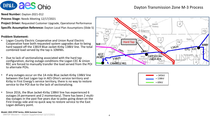

#### Dayton Transmission Zone M-3 Process

**Need Number:** Dayton-2021-012

**Process Stage:** Needs Meeting 12/17/2021

**Project Driver:** Requested Customer Upgrade, Operational Performance **Specific Assumption Reference:** Dayton Local Plan Assumptions (Slide 5)

**Problem Statement:**

- Logan County Electric Cooperative and Union Rural Electric Cooperative have both requested system upgrades due to being hard tapped off the 13819 Blue Jacket-Kirby 138kV line. The total combined load served by the tap is 10MWs.
- Due to lack of sectionalizing associated with the hard tap configuration, during outage conditions the Logan CEC & Union REC are forced to manually transfer the load served from the POI to alternate POIs.
- If any outages occur on the 14-mile Blue Jacket-Kirby 138kV line between the East Logan tap in AES Ohio's service territory and Kirby in First Energy's service territory, there is no way to restore service to the POI due to the lack of sectionalizing.
- Since 2016, the Blue Jacket-Kirby 138kV line has experienced 6 outages (4 permanent and 2 momentary). There has been 2 multiday outages in the past five years due to poles going down on the First Energy side and no quick way to restore service to the East Logan delivery point.



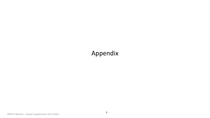### Appendix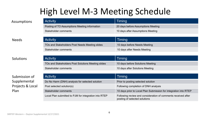## High Level M-3 Meeting Schedule

Stakeholder comments **10 days after Needs Meeting** 

| Assumptions  | <b>Activity</b>                                | Timing                             |
|--------------|------------------------------------------------|------------------------------------|
|              | Posting of TO Assumptions Meeting information  | 20 days before Assumptions Meeting |
|              | Stakeholder comments                           | 10 days after Assumptions Meeting  |
|              |                                                |                                    |
| <b>Needs</b> | <b>Activity</b>                                | Timing                             |
|              | TOs and Stakeholders Post Needs Meeting slides | 10 days before Needs Meeting       |

**Solutions** 

Submission of Supplemental Projects & Local Plan

| <b>Activity</b>                                    | Timing                           |
|----------------------------------------------------|----------------------------------|
| TOs and Stakeholders Post Solutions Meeting slides | 10 days before Solutions Meeting |
| Stakeholder comments                               | 10 days after Solutions Meeting  |

| <b>Activity</b>                                       | Timing                                                                                         |
|-------------------------------------------------------|------------------------------------------------------------------------------------------------|
| Do No Harm (DNH) analysis for selected solution       | Prior to posting selected solution                                                             |
| Post selected solution(s)                             | Following completion of DNH analysis                                                           |
| Stakeholder comments                                  | 10 days prior to Local Plan Submission for integration into RTEP                               |
| Local Plan submitted to PJM for integration into RTEP | Following review and consideration of comments received after<br>posting of selected solutions |